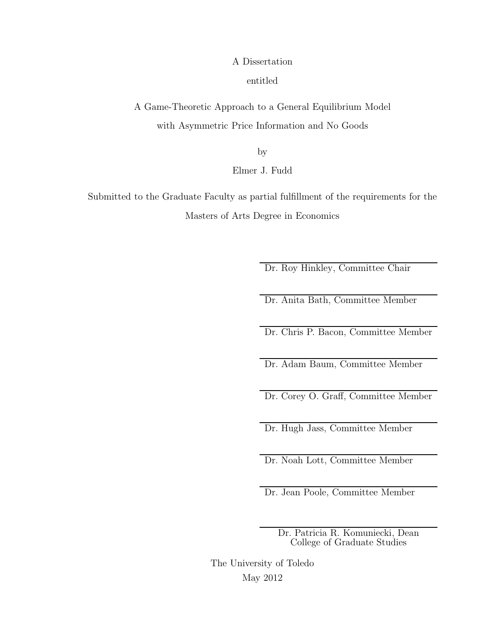#### A Dissertation

entitled

A Game-Theoretic Approach to a General Equilibrium Model with Asymmetric Price Information and No Goods

by

Elmer J. Fudd

Submitted to the Graduate Faculty as partial fulfillment of the requirements for the Masters of Arts Degree in Economics

Dr. Roy Hinkley, Committee Chair

Dr. Anita Bath, Committee Member

Dr. Chris P. Bacon, Committee Member

Dr. Adam Baum, Committee Member

Dr. Corey O. Graff, Committee Member

Dr. Hugh Jass, Committee Member

Dr. Noah Lott, Committee Member

Dr. Jean Poole, Committee Member

Dr. Patricia R. Komuniecki, Dean College of Graduate Studies

The University of Toledo May 2012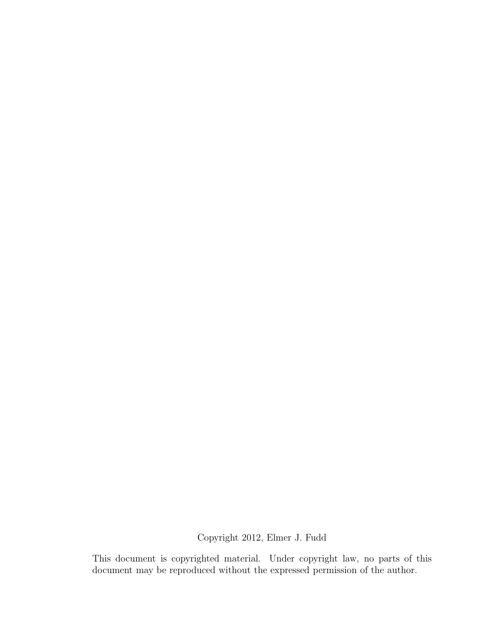Copyright 2012, Elmer J. Fudd

This document is copyrighted material. Under copyright law, no parts of this document may be reproduced without the expressed permission of the author.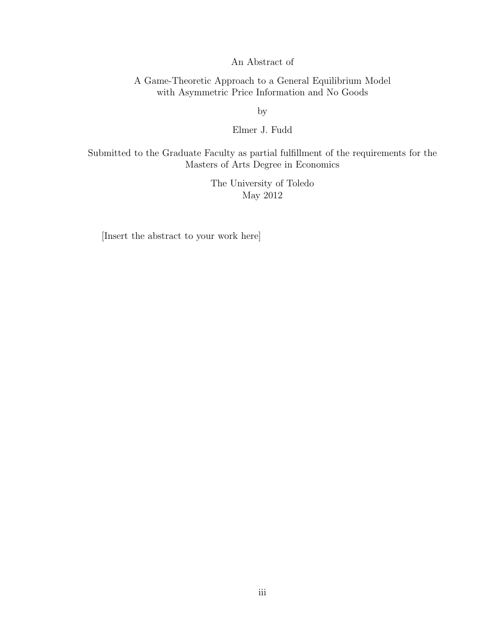An Abstract of

A Game-Theoretic Approach to a General Equilibrium Model with Asymmetric Price Information and No Goods

by

Elmer J. Fudd

Submitted to the Graduate Faculty as partial fulfillment of the requirements for the Masters of Arts Degree in Economics

> The University of Toledo May 2012

[Insert the abstract to your work here]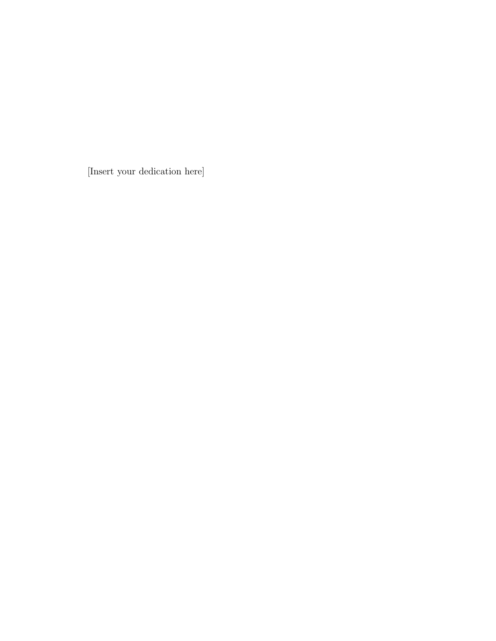[Insert your dedication here]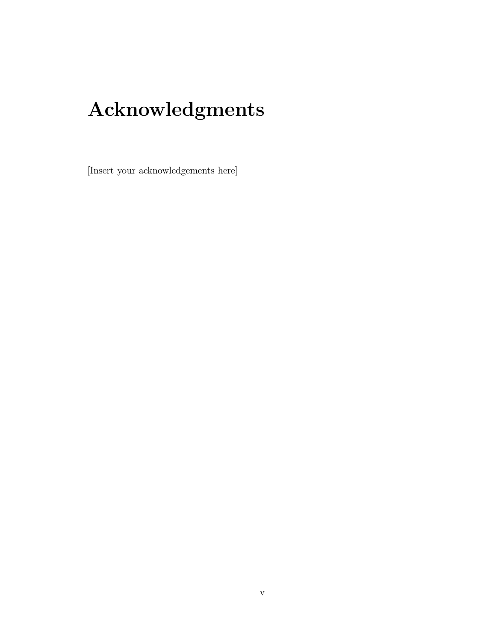### **Acknowledgments**

[Insert your acknowledgements here]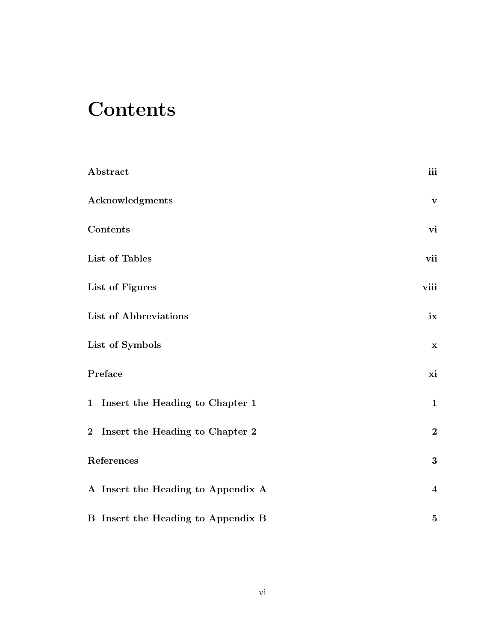### **Contents**

| Abstract                                  | iii                     |
|-------------------------------------------|-------------------------|
| Acknowledgments                           | $\mathbf{V}$            |
| Contents                                  | vi                      |
| List of Tables                            | vii                     |
| List of Figures                           | viii                    |
| List of Abbreviations                     | ix                      |
| List of Symbols                           | $\mathbf X$             |
| Preface                                   | xi                      |
| 1 Insert the Heading to Chapter 1         | $\mathbf{1}$            |
| 2 Insert the Heading to Chapter 2         | $\boldsymbol{2}$        |
| References                                | $\bf{3}$                |
| A Insert the Heading to Appendix A        | $\overline{\mathbf{4}}$ |
| <b>B</b> Insert the Heading to Appendix B | $\bf 5$                 |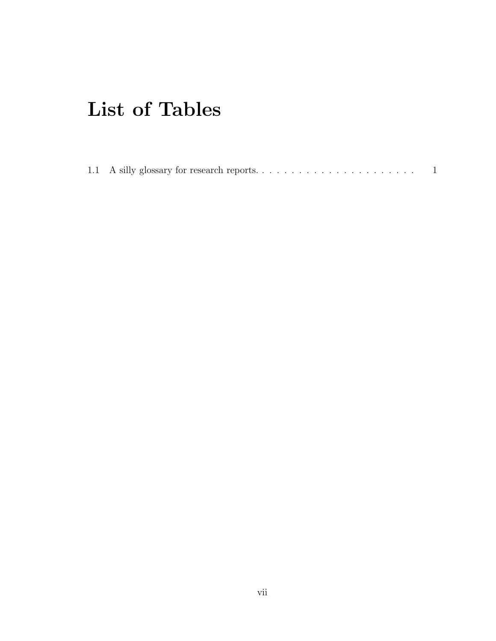### **List of Tables**

|--|--|--|--|--|--|--|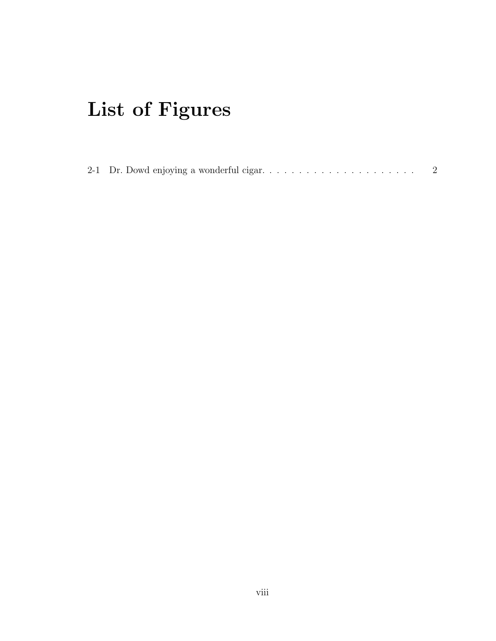# **List of Figures**

|--|--|--|--|--|--|--|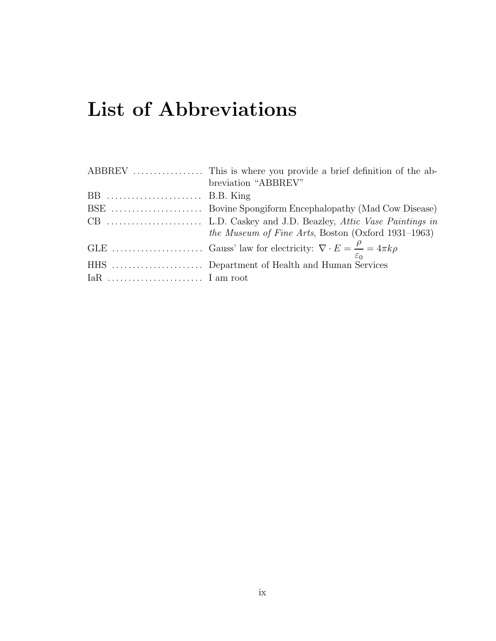### **List of Abbreviations**

|                | breviation "ABBREV"                                        |
|----------------|------------------------------------------------------------|
| $BB$ B.B. King |                                                            |
|                |                                                            |
|                |                                                            |
|                | <i>the Museum of Fine Arts</i> , Boston (Oxford 1931–1963) |
|                |                                                            |
|                |                                                            |
|                |                                                            |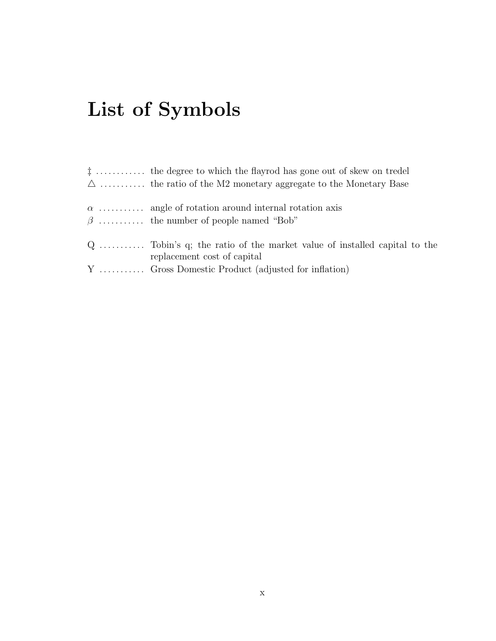# **List of Symbols**

| $\ddagger$ the degree to which the flayrod has gone out of skew on tredel                               |
|---------------------------------------------------------------------------------------------------------|
| $\Delta$ the ratio of the M2 monetary aggregate to the Monetary Base                                    |
| $\alpha$ angle of rotation around internal rotation axis                                                |
| $\beta$ the number of people named "Bob"                                                                |
| $Q$ Tobin's q; the ratio of the market value of installed capital to the<br>replacement cost of capital |
| Y  Gross Domestic Product (adjusted for inflation)                                                      |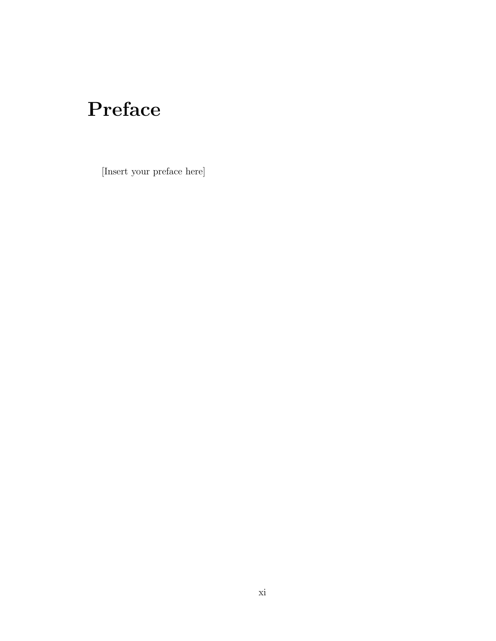## **Preface**

[Insert your preface here]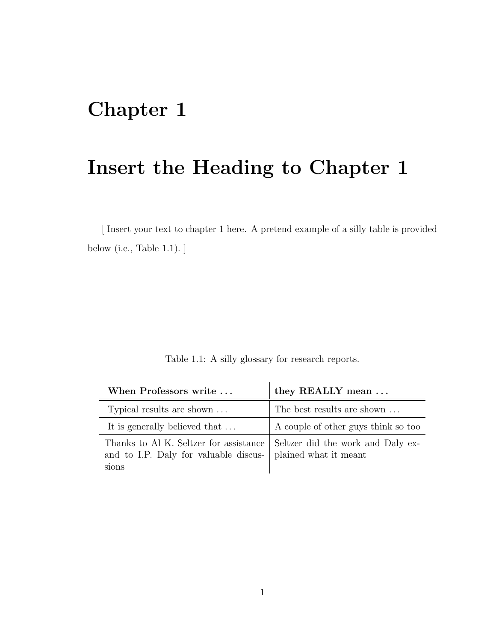### **Chapter 1**

#### **Insert the Heading to Chapter 1**

[ Insert your text to chapter 1 here. A pretend example of a silly table is provided below (i.e., Table 1.1). ]

|  |  |  | Table 1.1: A silly glossary for research reports. |  |
|--|--|--|---------------------------------------------------|--|
|  |  |  |                                                   |  |
|  |  |  |                                                   |  |

| When Professors write                                                                                                                            | they REALLY mean $\ldots$           |
|--------------------------------------------------------------------------------------------------------------------------------------------------|-------------------------------------|
| Typical results are shown                                                                                                                        | The best results are shown          |
| It is generally believed that                                                                                                                    | A couple of other guys think so too |
| Thanks to Al K. Seltzer for assistance Seltzer did the work and Daly ex-<br>and to I.P. Daly for valuable discus- plained what it meant<br>sions |                                     |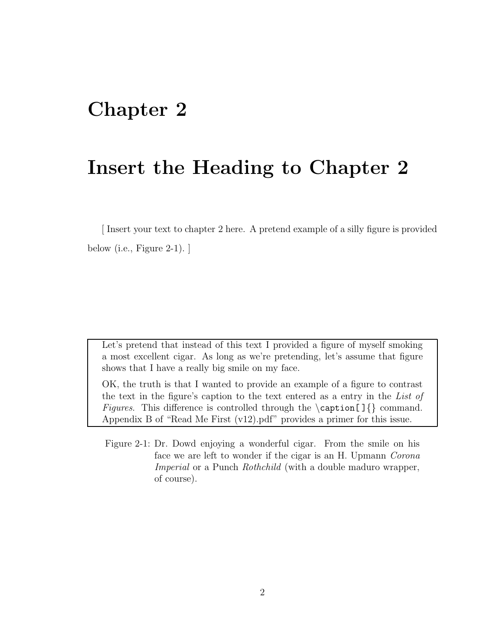#### **Chapter 2**

#### **Insert the Heading to Chapter 2**

[ Insert your text to chapter 2 here. A pretend example of a silly figure is provided below (i.e., Figure 2-1).  $\vert$ 

Let's pretend that instead of this text I provided a figure of myself smoking a most excellent cigar. As long as we're pretending, let's assume that figure shows that I have a really big smile on my face.

OK, the truth is that I wanted to provide an example of a figure to contrast the text in the figure's caption to the text entered as a entry in the *List of Figures*. This difference is controlled through the \caption[]{} command. Appendix B of "Read Me First (v12).pdf" provides a primer for this issue.

Figure 2-1: Dr. Dowd enjoying a wonderful cigar. From the smile on his face we are left to wonder if the cigar is an H. Upmann *Corona Imperial* or a Punch *Rothchild* (with a double maduro wrapper, of course).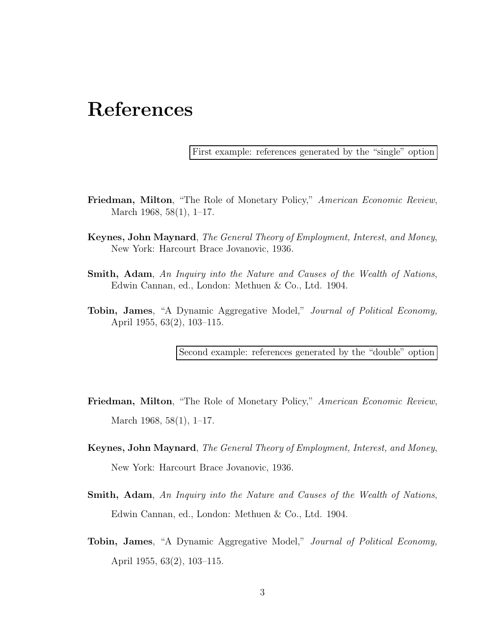#### **References**

First example: references generated by the "single" option

- **Friedman, Milton**, "The Role of Monetary Policy," *American Economic Review*, March 1968, 58(1), 1–17.
- **Keynes, John Maynard**, *The General Theory of Employment, Interest, and Money*, New York: Harcourt Brace Jovanovic, 1936.
- **Smith, Adam**, *An Inquiry into the Nature and Causes of the Wealth of Nations*, Edwin Cannan, ed., London: Methuen & Co., Ltd. 1904.
- **Tobin, James**, "A Dynamic Aggregative Model," *Journal of Political Economy,* April 1955, 63(2), 103–115.

Second example: references generated by the "double" option

- **Friedman, Milton**, "The Role of Monetary Policy," *American Economic Review*, March 1968, 58(1), 1–17.
- **Keynes, John Maynard**, *The General Theory of Employment, Interest, and Money*, New York: Harcourt Brace Jovanovic, 1936.
- **Smith, Adam**, *An Inquiry into the Nature and Causes of the Wealth of Nations*, Edwin Cannan, ed., London: Methuen & Co., Ltd. 1904.
- **Tobin, James**, "A Dynamic Aggregative Model," *Journal of Political Economy,* April 1955, 63(2), 103–115.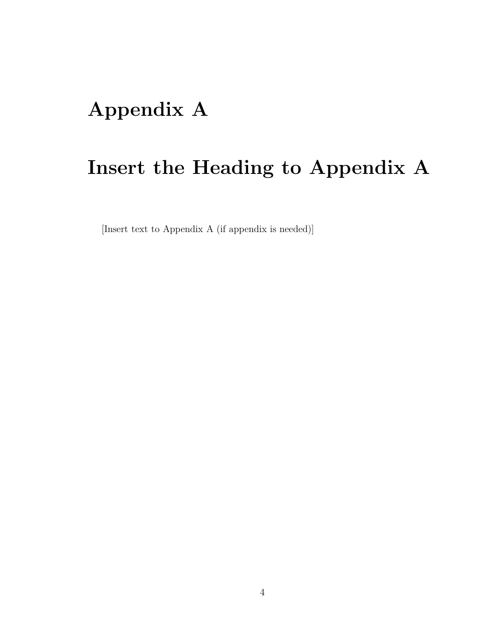### **Appendix A**

### **Insert the Heading to Appendix A**

[Insert text to Appendix A (if appendix is needed)]